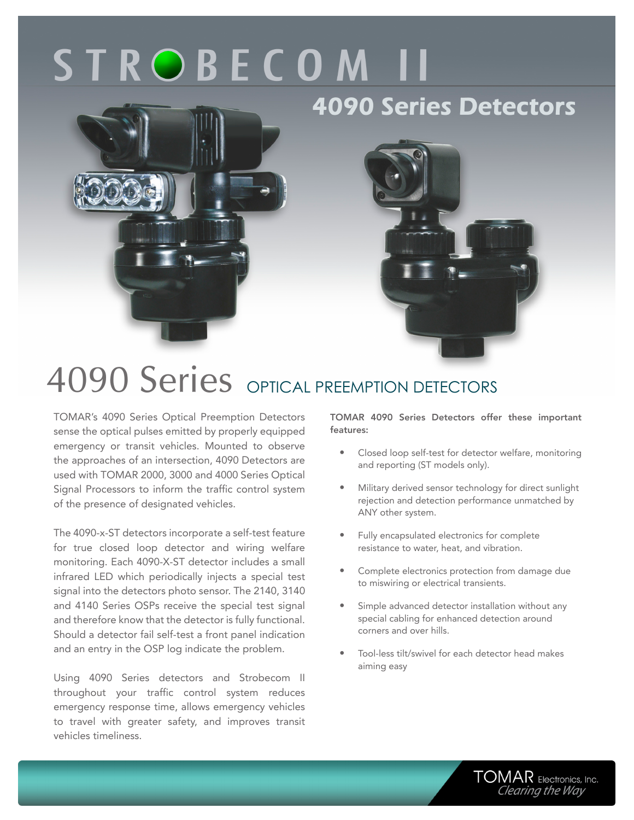# **STROBECOM II**

### **4090 Series Detectors**





## 4090 Series OPTICAL PREEMPTION DETECTORS

TOMAR's 4090 Series Optical Preemption Detectors sense the optical pulses emitted by properly equipped emergency or transit vehicles. Mounted to observe the approaches of an intersection, 4090 Detectors are used with TOMAR 2000, 3000 and 4000 Series Optical Signal Processors to inform the traffic control system of the presence of designated vehicles.

The 4090-x-ST detectors incorporate a self-test feature for true closed loop detector and wiring welfare monitoring. Each 4090-X-ST detector includes a small infrared LED which periodically injects a special test signal into the detectors photo sensor. The 2140, 3140 and 4140 Series OSPs receive the special test signal and therefore know that the detector is fully functional. Should a detector fail self-test a front panel indication and an entry in the OSP log indicate the problem.

Using 4090 Series detectors and Strobecom II throughout your traffic control system reduces emergency response time, allows emergency vehicles to travel with greater safety, and improves transit vehicles timeliness.

TOMAR 4090 Series Detectors offer these important features:

- Closed loop self-test for detector welfare, monitoring and reporting (ST models only).
- Military derived sensor technology for direct sunlight rejection and detection performance unmatched by ANY other system.
- Fully encapsulated electronics for complete resistance to water, heat, and vibration.
- Complete electronics protection from damage due to miswiring or electrical transients.
- Simple advanced detector installation without any special cabling for enhanced detection around corners and over hills.
- Tool-less tilt/swivel for each detector head makes aiming easy